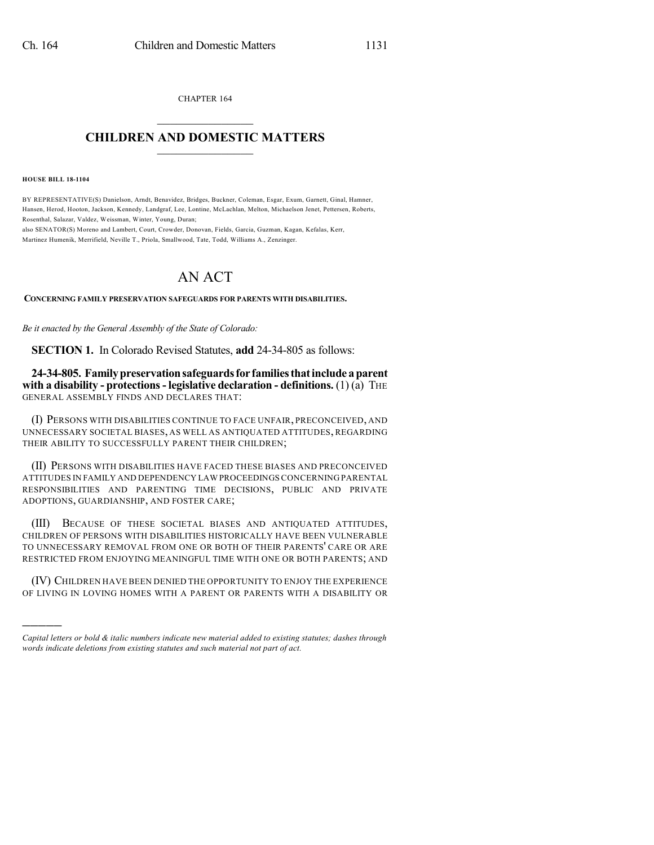CHAPTER 164  $\overline{\phantom{a}}$  . The set of the set of the set of the set of the set of the set of the set of the set of the set of the set of the set of the set of the set of the set of the set of the set of the set of the set of the set o

## **CHILDREN AND DOMESTIC MATTERS**  $\_$

**HOUSE BILL 18-1104**

)))))

BY REPRESENTATIVE(S) Danielson, Arndt, Benavidez, Bridges, Buckner, Coleman, Esgar, Exum, Garnett, Ginal, Hamner, Hansen, Herod, Hooton, Jackson, Kennedy, Landgraf, Lee, Lontine, McLachlan, Melton, Michaelson Jenet, Pettersen, Roberts, Rosenthal, Salazar, Valdez, Weissman, Winter, Young, Duran;

also SENATOR(S) Moreno and Lambert, Court, Crowder, Donovan, Fields, Garcia, Guzman, Kagan, Kefalas, Kerr, Martinez Humenik, Merrifield, Neville T., Priola, Smallwood, Tate, Todd, Williams A., Zenzinger.

## AN ACT

**CONCERNING FAMILY PRESERVATION SAFEGUARDS FOR PARENTS WITH DISABILITIES.**

*Be it enacted by the General Assembly of the State of Colorado:*

**SECTION 1.** In Colorado Revised Statutes, **add** 24-34-805 as follows:

**24-34-805. Familypreservationsafeguardsfor familiesthatinclude aparent with a disability - protections- legislative declaration - definitions.** (1) (a) THE GENERAL ASSEMBLY FINDS AND DECLARES THAT:

(I) PERSONS WITH DISABILITIES CONTINUE TO FACE UNFAIR, PRECONCEIVED, AND UNNECESSARY SOCIETAL BIASES, AS WELL AS ANTIQUATED ATTITUDES, REGARDING THEIR ABILITY TO SUCCESSFULLY PARENT THEIR CHILDREN;

(II) PERSONS WITH DISABILITIES HAVE FACED THESE BIASES AND PRECONCEIVED ATTITUDES IN FAMILY AND DEPENDENCY LAW PROCEEDINGS CONCERNING PARENTAL RESPONSIBILITIES AND PARENTING TIME DECISIONS, PUBLIC AND PRIVATE ADOPTIONS, GUARDIANSHIP, AND FOSTER CARE;

(III) BECAUSE OF THESE SOCIETAL BIASES AND ANTIQUATED ATTITUDES, CHILDREN OF PERSONS WITH DISABILITIES HISTORICALLY HAVE BEEN VULNERABLE TO UNNECESSARY REMOVAL FROM ONE OR BOTH OF THEIR PARENTS' CARE OR ARE RESTRICTED FROM ENJOYING MEANINGFUL TIME WITH ONE OR BOTH PARENTS; AND

(IV) CHILDREN HAVE BEEN DENIED THE OPPORTUNITY TO ENJOY THE EXPERIENCE OF LIVING IN LOVING HOMES WITH A PARENT OR PARENTS WITH A DISABILITY OR

*Capital letters or bold & italic numbers indicate new material added to existing statutes; dashes through words indicate deletions from existing statutes and such material not part of act.*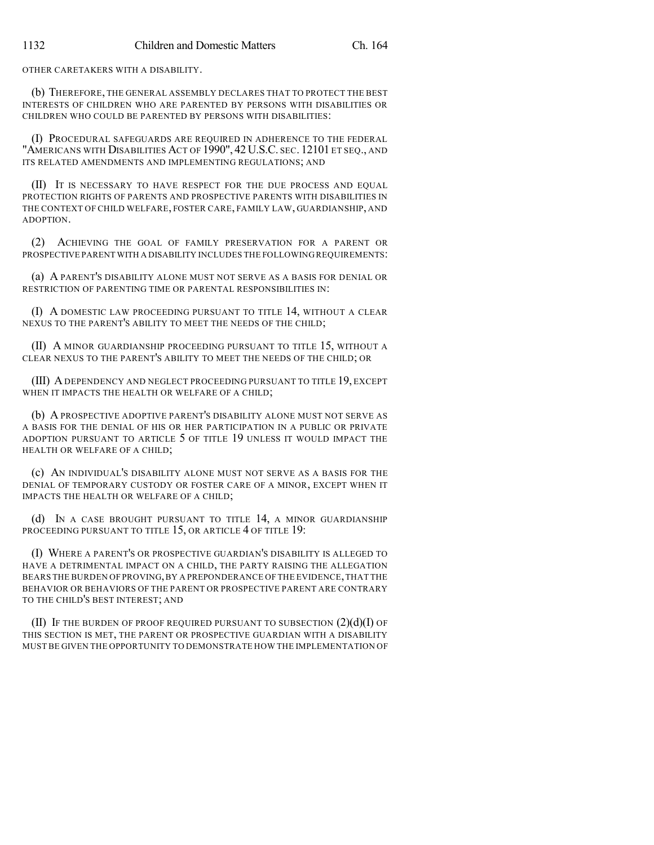OTHER CARETAKERS WITH A DISABILITY.

(b) THEREFORE, THE GENERAL ASSEMBLY DECLARES THAT TO PROTECT THE BEST INTERESTS OF CHILDREN WHO ARE PARENTED BY PERSONS WITH DISABILITIES OR CHILDREN WHO COULD BE PARENTED BY PERSONS WITH DISABILITIES:

(I) PROCEDURAL SAFEGUARDS ARE REQUIRED IN ADHERENCE TO THE FEDERAL "AMERICANS WITH DISABILITIES ACT OF 1990", 42 U.S.C. SEC. 12101 ET SEQ., AND ITS RELATED AMENDMENTS AND IMPLEMENTING REGULATIONS; AND

(II) IT IS NECESSARY TO HAVE RESPECT FOR THE DUE PROCESS AND EQUAL PROTECTION RIGHTS OF PARENTS AND PROSPECTIVE PARENTS WITH DISABILITIES IN THE CONTEXT OF CHILD WELFARE, FOSTER CARE, FAMILY LAW, GUARDIANSHIP, AND ADOPTION.

(2) ACHIEVING THE GOAL OF FAMILY PRESERVATION FOR A PARENT OR PROSPECTIVE PARENT WITH A DISABILITY INCLUDES THE FOLLOWING REQUIREMENTS:

(a) A PARENT'S DISABILITY ALONE MUST NOT SERVE AS A BASIS FOR DENIAL OR RESTRICTION OF PARENTING TIME OR PARENTAL RESPONSIBILITIES IN:

(I) A DOMESTIC LAW PROCEEDING PURSUANT TO TITLE 14, WITHOUT A CLEAR NEXUS TO THE PARENT'S ABILITY TO MEET THE NEEDS OF THE CHILD;

(II) A MINOR GUARDIANSHIP PROCEEDING PURSUANT TO TITLE 15, WITHOUT A CLEAR NEXUS TO THE PARENT'S ABILITY TO MEET THE NEEDS OF THE CHILD; OR

(III) ADEPENDENCY AND NEGLECT PROCEEDING PURSUANT TO TITLE 19, EXCEPT WHEN IT IMPACTS THE HEALTH OR WELFARE OF A CHILD;

(b) A PROSPECTIVE ADOPTIVE PARENT'S DISABILITY ALONE MUST NOT SERVE AS A BASIS FOR THE DENIAL OF HIS OR HER PARTICIPATION IN A PUBLIC OR PRIVATE ADOPTION PURSUANT TO ARTICLE 5 OF TITLE 19 UNLESS IT WOULD IMPACT THE HEALTH OR WELFARE OF A CHILD;

(c) AN INDIVIDUAL'S DISABILITY ALONE MUST NOT SERVE AS A BASIS FOR THE DENIAL OF TEMPORARY CUSTODY OR FOSTER CARE OF A MINOR, EXCEPT WHEN IT IMPACTS THE HEALTH OR WELFARE OF A CHILD;

(d) IN A CASE BROUGHT PURSUANT TO TITLE 14, A MINOR GUARDIANSHIP PROCEEDING PURSUANT TO TITLE 15, OR ARTICLE 4 OF TITLE 19:

(I) WHERE A PARENT'S OR PROSPECTIVE GUARDIAN'S DISABILITY IS ALLEGED TO HAVE A DETRIMENTAL IMPACT ON A CHILD, THE PARTY RAISING THE ALLEGATION BEARS THE BURDEN OF PROVING,BY A PREPONDERANCE OF THE EVIDENCE,THAT THE BEHAVIOR OR BEHAVIORS OF THE PARENT OR PROSPECTIVE PARENT ARE CONTRARY TO THE CHILD'S BEST INTEREST; AND

(II) IF THE BURDEN OF PROOF REQUIRED PURSUANT TO SUBSECTION  $(2)(d)(I)$  OF THIS SECTION IS MET, THE PARENT OR PROSPECTIVE GUARDIAN WITH A DISABILITY MUST BE GIVEN THE OPPORTUNITY TO DEMONSTRATE HOW THE IMPLEMENTATION OF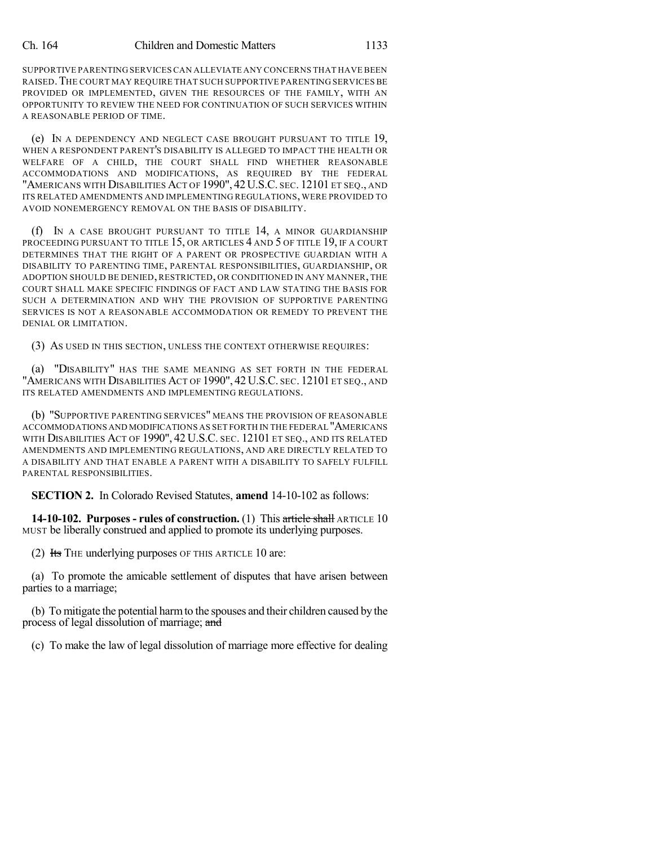## Ch. 164 Children and Domestic Matters 1133

SUPPORTIVE PARENTING SERVICES CAN ALLEVIATE ANY CONCERNS THAT HAVE BEEN RAISED.THE COURT MAY REQUIRE THAT SUCH SUPPORTIVE PARENTING SERVICES BE PROVIDED OR IMPLEMENTED, GIVEN THE RESOURCES OF THE FAMILY, WITH AN OPPORTUNITY TO REVIEW THE NEED FOR CONTINUATION OF SUCH SERVICES WITHIN A REASONABLE PERIOD OF TIME.

(e) IN A DEPENDENCY AND NEGLECT CASE BROUGHT PURSUANT TO TITLE 19, WHEN A RESPONDENT PARENT'S DISABILITY IS ALLEGED TO IMPACT THE HEALTH OR WELFARE OF A CHILD, THE COURT SHALL FIND WHETHER REASONABLE ACCOMMODATIONS AND MODIFICATIONS, AS REQUIRED BY THE FEDERAL "AMERICANS WITH DISABILITIES ACT OF 1990", 42 U.S.C. SEC. 12101 ET SEQ., AND ITS RELATED AMENDMENTS AND IMPLEMENTING REGULATIONS, WERE PROVIDED TO AVOID NONEMERGENCY REMOVAL ON THE BASIS OF DISABILITY.

(f) IN A CASE BROUGHT PURSUANT TO TITLE 14, A MINOR GUARDIANSHIP PROCEEDING PURSUANT TO TITLE 15, OR ARTICLES 4 AND 5 OF TITLE 19, IF A COURT DETERMINES THAT THE RIGHT OF A PARENT OR PROSPECTIVE GUARDIAN WITH A DISABILITY TO PARENTING TIME, PARENTAL RESPONSIBILITIES, GUARDIANSHIP, OR ADOPTION SHOULD BE DENIED, RESTRICTED, OR CONDITIONED IN ANY MANNER, THE COURT SHALL MAKE SPECIFIC FINDINGS OF FACT AND LAW STATING THE BASIS FOR SUCH A DETERMINATION AND WHY THE PROVISION OF SUPPORTIVE PARENTING SERVICES IS NOT A REASONABLE ACCOMMODATION OR REMEDY TO PREVENT THE DENIAL OR LIMITATION.

(3) AS USED IN THIS SECTION, UNLESS THE CONTEXT OTHERWISE REQUIRES:

(a) "DISABILITY" HAS THE SAME MEANING AS SET FORTH IN THE FEDERAL "AMERICANS WITH DISABILITIES ACT OF 1990", 42 U.S.C. SEC. 12101 ET SEQ., AND ITS RELATED AMENDMENTS AND IMPLEMENTING REGULATIONS.

(b) "SUPPORTIVE PARENTING SERVICES" MEANS THE PROVISION OF REASONABLE ACCOMMODATIONS AND MODIFICATIONS AS SET FORTH IN THE FEDERAL "AMERICANS WITH DISABILITIES ACT OF 1990", 42 U.S.C. SEC. 12101 ET SEQ., AND ITS RELATED AMENDMENTS AND IMPLEMENTING REGULATIONS, AND ARE DIRECTLY RELATED TO A DISABILITY AND THAT ENABLE A PARENT WITH A DISABILITY TO SAFELY FULFILL PARENTAL RESPONSIBILITIES.

**SECTION 2.** In Colorado Revised Statutes, **amend** 14-10-102 as follows:

**14-10-102. Purposes - rules of construction.** (1) This article shall ARTICLE 10 MUST be liberally construed and applied to promote its underlying purposes.

(2) Its THE underlying purposes OF THIS ARTICLE 10 are:

(a) To promote the amicable settlement of disputes that have arisen between parties to a marriage;

(b) To mitigate the potential harmto the spouses and their children caused by the process of legal dissolution of marriage; and

(c) To make the law of legal dissolution of marriage more effective for dealing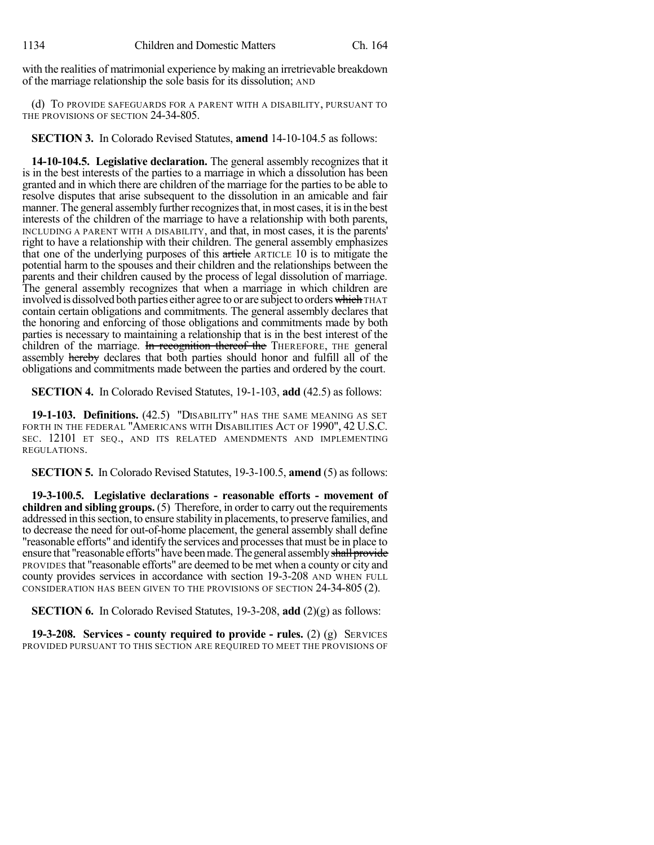with the realities of matrimonial experience by making an irretrievable breakdown of the marriage relationship the sole basis for its dissolution; AND

(d) TO PROVIDE SAFEGUARDS FOR A PARENT WITH A DISABILITY, PURSUANT TO THE PROVISIONS OF SECTION 24-34-805.

**SECTION 3.** In Colorado Revised Statutes, **amend** 14-10-104.5 as follows:

**14-10-104.5. Legislative declaration.** The general assembly recognizes that it is in the best interests of the parties to a marriage in which a dissolution has been granted and in which there are children of the marriage for the parties to be able to resolve disputes that arise subsequent to the dissolution in an amicable and fair manner. The general assembly further recognizes that, in most cases, it is in the best interests of the children of the marriage to have a relationship with both parents, INCLUDING A PARENT WITH A DISABILITY, and that, in most cases, it is the parents' right to have a relationship with their children. The general assembly emphasizes that one of the underlying purposes of this article ARTICLE 10 is to mitigate the potential harm to the spouses and their children and the relationships between the parents and their children caused by the process of legal dissolution of marriage. The general assembly recognizes that when a marriage in which children are involved is dissolved both parties either agree to or are subject to orders which THAT contain certain obligations and commitments. The general assembly declares that the honoring and enforcing of those obligations and commitments made by both parties is necessary to maintaining a relationship that is in the best interest of the children of the marriage. In recognition thereof the THEREFORE, THE general assembly hereby declares that both parties should honor and fulfill all of the obligations and commitments made between the parties and ordered by the court.

**SECTION 4.** In Colorado Revised Statutes, 19-1-103, **add** (42.5) as follows:

**19-1-103. Definitions.** (42.5) "DISABILITY" HAS THE SAME MEANING AS SET FORTH IN THE FEDERAL "AMERICANS WITH DISABILITIES ACT OF 1990", 42 U.S.C. SEC. 12101 ET SEQ., AND ITS RELATED AMENDMENTS AND IMPLEMENTING REGULATIONS.

**SECTION 5.** In Colorado Revised Statutes, 19-3-100.5, **amend** (5) as follows:

**19-3-100.5. Legislative declarations - reasonable efforts - movement of children and sibling groups.** (5) Therefore, in orderto carry out the requirements addressed in this section, to ensure stability in placements, to preserve families, and to decrease the need for out-of-home placement, the general assembly shall define "reasonable efforts" and identify the services and processesthat must be in place to ensure that "reasonable efforts" have been made. The general assembly shall provide PROVIDES that "reasonable efforts" are deemed to be met when a county or city and county provides services in accordance with section 19-3-208 AND WHEN FULL CONSIDERATION HAS BEEN GIVEN TO THE PROVISIONS OF SECTION 24-34-805 (2).

**SECTION 6.** In Colorado Revised Statutes, 19-3-208, **add** (2)(g) as follows:

**19-3-208. Services - county required to provide - rules.** (2) (g) SERVICES PROVIDED PURSUANT TO THIS SECTION ARE REQUIRED TO MEET THE PROVISIONS OF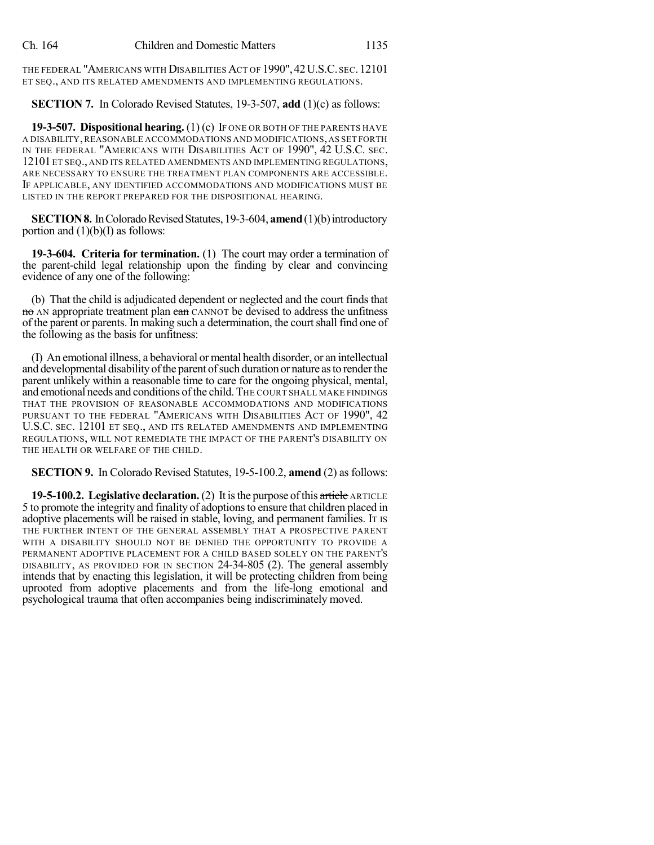THE FEDERAL "AMERICANS WITH DISABILITIES ACT OF 1990", 42U.S.C. SEC.12101 ET SEQ., AND ITS RELATED AMENDMENTS AND IMPLEMENTING REGULATIONS.

## **SECTION 7.** In Colorado Revised Statutes, 19-3-507, **add** (1)(c) as follows:

**19-3-507. Dispositional hearing.** (1) (c) IF ONE OR BOTH OF THE PARENTS HAVE A DISABILITY,REASONABLE ACCOMMODATIONS AND MODIFICATIONS, AS SET FORTH IN THE FEDERAL "AMERICANS WITH DISABILITIES ACT OF 1990", 42 U.S.C. SEC. 12101 ET SEQ., AND ITS RELATED AMENDMENTS AND IMPLEMENTING REGULATIONS, ARE NECESSARY TO ENSURE THE TREATMENT PLAN COMPONENTS ARE ACCESSIBLE. IF APPLICABLE, ANY IDENTIFIED ACCOMMODATIONS AND MODIFICATIONS MUST BE LISTED IN THE REPORT PREPARED FOR THE DISPOSITIONAL HEARING.

**SECTION 8.** In Colorado Revised Statutes, 19-3-604, **amend** (1)(b) introductory portion and  $(1)(b)(I)$  as follows:

**19-3-604. Criteria for termination.** (1) The court may order a termination of the parent-child legal relationship upon the finding by clear and convincing evidence of any one of the following:

(b) That the child is adjudicated dependent or neglected and the court finds that no AN appropriate treatment plan can CANNOT be devised to address the unfitness of the parent or parents. In making such a determination, the courtshall find one of the following as the basis for unfitness:

(I) An emotional illness, a behavioral or mental health disorder, or an intellectual and developmental disability of the parent of such duration or nature as to render the parent unlikely within a reasonable time to care for the ongoing physical, mental, and emotional needs and conditions of the child. THE COURT SHALL MAKE FINDINGS THAT THE PROVISION OF REASONABLE ACCOMMODATIONS AND MODIFICATIONS PURSUANT TO THE FEDERAL "AMERICANS WITH DISABILITIES ACT OF 1990", 42 U.S.C. SEC. 12101 ET SEQ., AND ITS RELATED AMENDMENTS AND IMPLEMENTING REGULATIONS, WILL NOT REMEDIATE THE IMPACT OF THE PARENT'S DISABILITY ON THE HEALTH OR WELFARE OF THE CHILD.

**SECTION 9.** In Colorado Revised Statutes, 19-5-100.2, **amend** (2) as follows:

**19-5-100.2. Legislative declaration.** (2) It is the purpose of this article ARTICLE 5 to promote the integrity and finality of adoptionsto ensure that children placed in adoptive placements will be raised in stable, loving, and permanent families. IT IS THE FURTHER INTENT OF THE GENERAL ASSEMBLY THAT A PROSPECTIVE PARENT WITH A DISABILITY SHOULD NOT BE DENIED THE OPPORTUNITY TO PROVIDE A PERMANENT ADOPTIVE PLACEMENT FOR A CHILD BASED SOLELY ON THE PARENT'S DISABILITY, AS PROVIDED FOR IN SECTION 24-34-805 (2). The general assembly intends that by enacting this legislation, it will be protecting children from being uprooted from adoptive placements and from the life-long emotional and psychological trauma that often accompanies being indiscriminately moved.